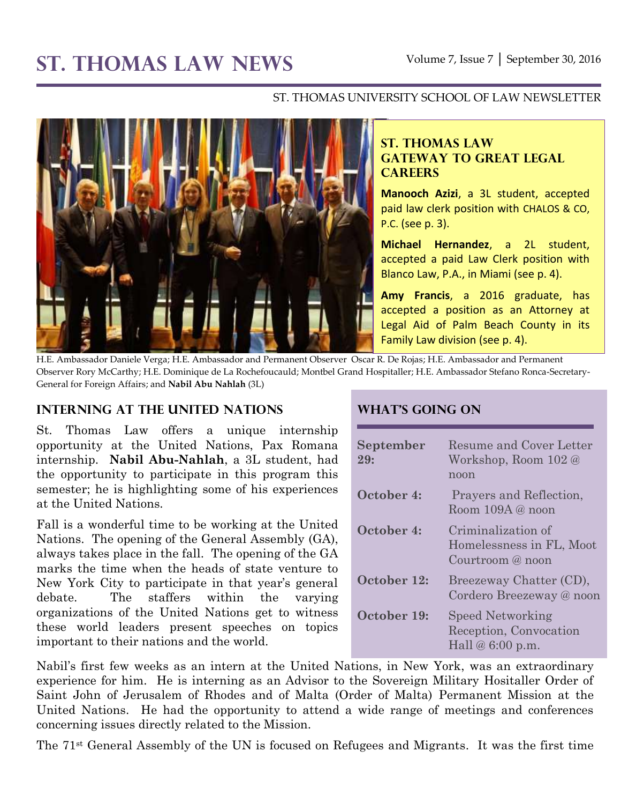# **ST. THOMAS LAW NEWS** Volume 7, Issue 7 │ September 30, 2016

#### ST. THOMAS UNIVERSITY SCHOOL OF LAW NEWSLETTER



## **ST. THOMAS LAW GATEWAY TO GREAT LEGAL CAREERS**

**Manooch Azizi**, a 3L student, accepted paid law clerk position with CHALOS & CO, P.C. (see p. 3).

**Michael Hernandez**, a 2L student, accepted a paid Law Clerk position with Blanco Law, P.A., in Miami (see p. 4).

**Amy Francis**, a 2016 graduate, has accepted a position as an Attorney at Legal Aid of Palm Beach County in its Family Law division (see p. 4).

H.E. Ambassador Daniele Verga; H.E. Ambassador and Permanent Observer Oscar R. De Rojas; H.E. Ambassador and Permanent Observer Rory McCarthy; H.E. Dominique de La Rochefoucauld; Montbel Grand Hospitaller; H.E. Ambassador Stefano Ronca-Secretary-General for Foreign Affairs; and **Nabil Abu Nahlah** (3L)

#### **Interning at the United Nations**

St. Thomas Law offers a unique internship opportunity at the United Nations, Pax Romana internship. **Nabil Abu-Nahlah**, a 3L student, had the opportunity to participate in this program this semester; he is highlighting some of his experiences at the United Nations.

Fall is a wonderful time to be working at the United Nations. The opening of the General Assembly (GA), always takes place in the fall. The opening of the GA marks the time when the heads of state venture to New York City to participate in that year's general debate. The staffers within the varying organizations of the United Nations get to witness these world leaders present speeches on topics important to their nations and the world.

#### **What's Going On**

| September<br>29: | Resume and Cover Letter<br>Workshop, Room 102 @<br>noon            |
|------------------|--------------------------------------------------------------------|
| October 4:       | Prayers and Reflection,<br>Room $109A @$ noon                      |
| October 4:       | Criminalization of<br>Homelessness in FL, Moot<br>Courtroom @ noon |
| October 12:      | Breezeway Chatter (CD),<br>Cordero Breezeway @ noon                |
| October 19:      | Speed Networking<br>Reception, Convocation<br>Hall $@6:00 p.m.$    |

Nabil's first few weeks as an intern at the United Nations, in New York, was an extraordinary experience for him. He is interning as an Advisor to the Sovereign Military Hositaller Order of Saint John of Jerusalem of Rhodes and of Malta (Order of Malta) Permanent Mission at the United Nations. He had the opportunity to attend a wide range of meetings and conferences concerning issues directly related to the Mission.

The 71st General Assembly of the UN is focused on Refugees and Migrants. It was the first time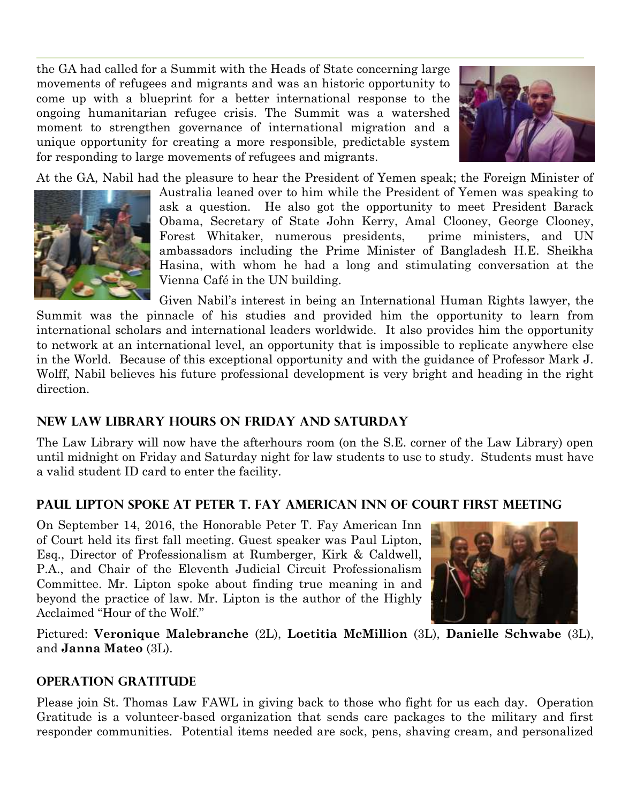the GA had called for a Summit with the Heads of State concerning large movements of refugees and migrants and was an historic opportunity to come up with a blueprint for a better international response to the ongoing humanitarian refugee crisis. The Summit was a watershed moment to strengthen governance of international migration and a unique opportunity for creating a more responsible, predictable system for responding to large movements of refugees and migrants.



At the GA, Nabil had the pleasure to hear the President of Yemen speak; the Foreign Minister of



Australia leaned over to him while the President of Yemen was speaking to ask a question. He also got the opportunity to meet President Barack Obama, Secretary of State John Kerry, Amal Clooney, George Clooney, Forest Whitaker, numerous presidents, prime ministers, and UN ambassadors including the Prime Minister of Bangladesh H.E. Sheikha Hasina, with whom he had a long and stimulating conversation at the Vienna Café in the UN building.

Given Nabil's interest in being an International Human Rights lawyer, the Summit was the pinnacle of his studies and provided him the opportunity to learn from international scholars and international leaders worldwide. It also provides him the opportunity to network at an international level, an opportunity that is impossible to replicate anywhere else in the World. Because of this exceptional opportunity and with the guidance of Professor Mark J. Wolff, Nabil believes his future professional development is very bright and heading in the right direction.

# **New Law Library Hours on Friday and Saturday**

The Law Library will now have the afterhours room (on the S.E. corner of the Law Library) open until midnight on Friday and Saturday night for law students to use to study. Students must have a valid student ID card to enter the facility.

## **Paul Lipton spoke at Peter T. Fay American Inn of Court first meeting**

On September 14, 2016, the Honorable Peter T. Fay American Inn of Court held its first fall meeting. Guest speaker was Paul Lipton, Esq., Director of Professionalism at Rumberger, Kirk & Caldwell, P.A., and Chair of the Eleventh Judicial Circuit Professionalism Committee. Mr. Lipton spoke about finding true meaning in and beyond the practice of law. Mr. Lipton is the author of the Highly Acclaimed "Hour of the Wolf."



Pictured: **Veronique Malebranche** (2L), **Loetitia McMillion** (3L), **Danielle Schwabe** (3L), and **Janna Mateo** (3L).

## **Operation Gratitude**

Please join St. Thomas Law FAWL in giving back to those who fight for us each day. Operation Gratitude is a volunteer-based organization that sends care packages to the military and first responder communities. Potential items needed are sock, pens, shaving cream, and personalized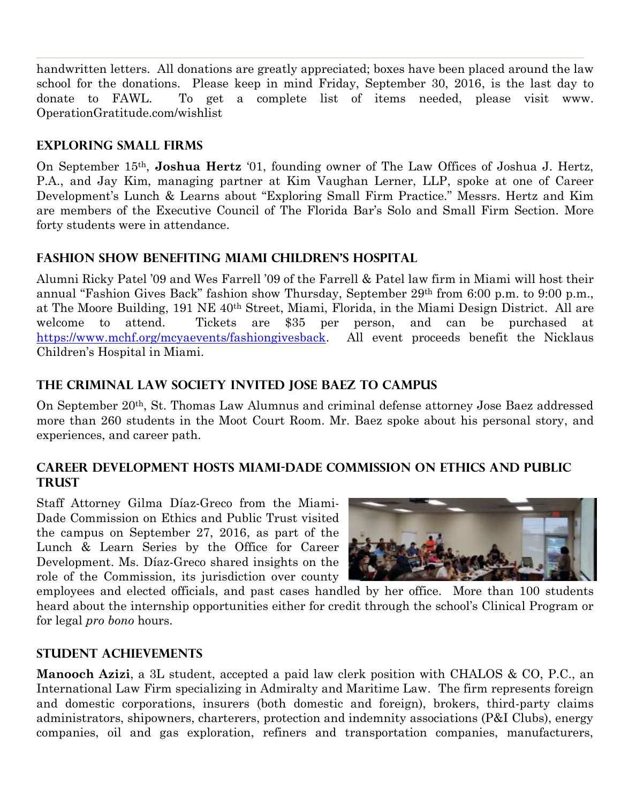handwritten letters. All donations are greatly appreciated; boxes have been placed around the law school for the donations. Please keep in mind Friday, September 30, 2016, is the last day to donate to FAWL. To get a complete list of items needed, please visit www. OperationGratitude.com/wishlist

## **Exploring Small Firms**

On September 15th, **Joshua Hertz** '01, founding owner of The Law Offices of Joshua J. Hertz, P.A., and Jay Kim, managing partner at Kim Vaughan Lerner, LLP, spoke at one of Career Development's Lunch & Learns about "Exploring Small Firm Practice." Messrs. Hertz and Kim are members of the Executive Council of The Florida Bar's Solo and Small Firm Section. More forty students were in attendance.

## **Fashion Show Benefiting Miami Children's Hospital**

Alumni Ricky Patel '09 and Wes Farrell '09 of the Farrell & Patel law firm in Miami will host their annual "Fashion Gives Back" fashion show Thursday, September 29th from 6:00 p.m. to 9:00 p.m., at The Moore Building, 191 NE 40th Street, Miami, Florida, in the Miami Design District. All are welcome to attend. Tickets are \$35 per person, and can be purchased at [https://www.mchf.org/mcyaevents/fashiongivesback.](https://www.mchf.org/mcyaevents/fashiongivesback) All event proceeds benefit the Nicklaus Children's Hospital in Miami.

## **The Criminal Law Society invited Jose Baez to campus**

On September 20th, St. Thomas Law Alumnus and criminal defense attorney Jose Baez addressed more than 260 students in the Moot Court Room. Mr. Baez spoke about his personal story, and experiences, and career path.

## **Career Development Hosts Miami-Dade Commission on Ethics and Public Trust**

Staff Attorney Gilma Díaz-Greco from the Miami-Dade Commission on Ethics and Public Trust visited the campus on September 27, 2016, as part of the Lunch & Learn Series by the Office for Career Development. Ms. Díaz-Greco shared insights on the role of the Commission, its jurisdiction over county



employees and elected officials, and past cases handled by her office. More than 100 students heard about the internship opportunities either for credit through the school's Clinical Program or for legal *pro bono* hours.

#### **STUDENT ACHIEVEMENTS**

**Manooch Azizi**, a 3L student, accepted a paid law clerk position with CHALOS & CO, P.C., an International Law Firm specializing in Admiralty and Maritime Law. The firm represents foreign and domestic corporations, insurers (both domestic and foreign), brokers, third-party claims administrators, shipowners, charterers, protection and indemnity associations (P&I Clubs), energy companies, oil and gas exploration, refiners and transportation companies, manufacturers,